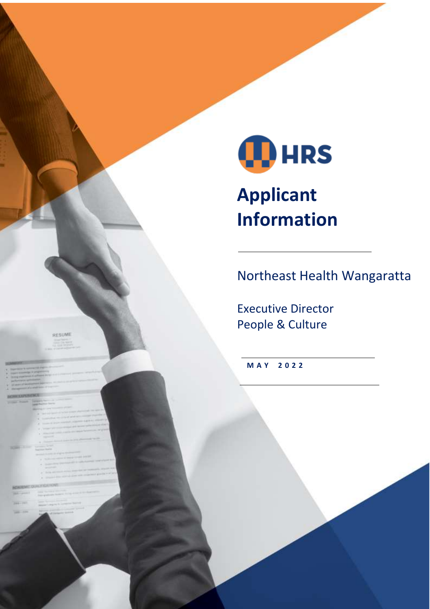

# **Applicant Information**

Northeast Health Wangaratta

Executive Director People & Culture

**M A Y 2 0 2 2**

RESUME

- 
- 
- 
- 

- 
- 
- 
- 

- 
-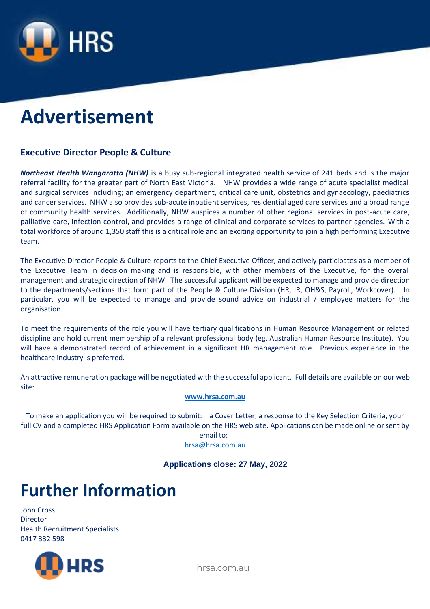

# **Advertisement**

#### **Executive Director People & Culture**

*Northeast Health Wangaratta (NHW)* is a busy sub-regional integrated health service of 241 beds and is the major referral facility for the greater part of North East Victoria. NHW provides a wide range of acute specialist medical and surgical services including; an emergency department, critical care unit, obstetrics and gynaecology, paediatrics and cancer services. NHW also provides sub-acute inpatient services, residential aged care services and a broad range of community health services. Additionally, NHW auspices a number of other regional services in post-acute care, palliative care, infection control, and provides a range of clinical and corporate services to partner agencies. With a total workforce of around 1,350 staff this is a critical role and an exciting opportunity to join a high performing Executive team.

The Executive Director People & Culture reports to the Chief Executive Officer, and actively participates as a member of the Executive Team in decision making and is responsible, with other members of the Executive, for the overall management and strategic direction of NHW. The successful applicant will be expected to manage and provide direction to the departments/sections that form part of the People & Culture Division (HR, IR, OH&S, Payroll, Workcover). In particular, you will be expected to manage and provide sound advice on industrial / employee matters for the organisation.

To meet the requirements of the role you will have tertiary qualifications in Human Resource Management or related discipline and hold current membership of a relevant professional body (eg. Australian Human Resource Institute). You will have a demonstrated record of achievement in a significant HR management role. Previous experience in the healthcare industry is preferred.

An attractive remuneration package will be negotiated with the successful applicant. Full details are available on our web site:

#### **[www.hrsa.com.au](http://www.hrsa.com.au/)**

To make an application you will be required to submit: a Cover Letter, a response to the Key Selection Criteria, your full CV and a completed HRS Application Form available on the HRS web site. Applications can be made online or sent by

email to: [hrsa@hrsa.com.au](mailto:hrsa@hrsa.com.au)

**Applications close: 27 May, 2022**

### **Further Information**

John Cross Director Health Recruitment Specialists 0417 332 598

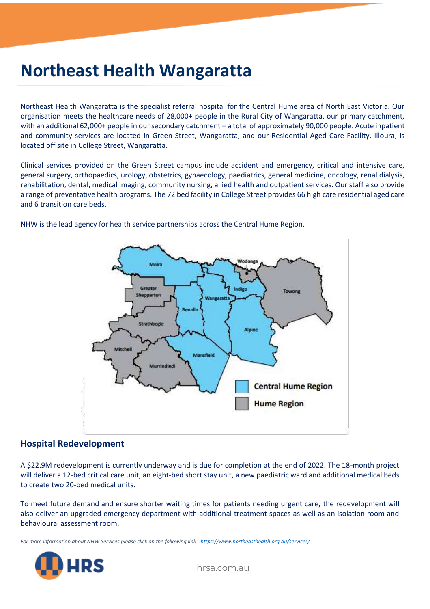### **Northeast Health Wangaratta**

Northeast Health Wangaratta is the specialist referral hospital for the Central Hume area of North East Victoria. Our organisation meets the healthcare needs of 28,000+ people in the Rural City of Wangaratta, our primary catchment, with an additional 62,000+ people in our secondary catchment – a total of approximately 90,000 people. Acute inpatient and community services are located in Green Street, Wangaratta, and our Residential Aged Care Facility, Illoura, is located off site in College Street, Wangaratta.

Clinical services provided on the Green Street campus include accident and emergency, critical and intensive care, general surgery, orthopaedics, urology, obstetrics, gynaecology, paediatrics, general medicine, oncology, renal dialysis, rehabilitation, dental, medical imaging, community nursing, allied health and outpatient services. Our staff also provide a range of preventative health programs. The 72 bed facility in College Street provides 66 high care residential aged care and 6 transition care beds.



NHW is the lead agency for health service partnerships across the Central Hume Region.

#### **Hospital Redevelopment**

A \$22.9M redevelopment is currently underway and is due for completion at the end of 2022. The 18-month project will deliver a 12-bed critical care unit, an eight-bed short stay unit, a new paediatric ward and additional medical beds to create two 20-bed medical units.

To meet future demand and ensure shorter waiting times for patients needing urgent care, the redevelopment will also deliver an upgraded emergency department with additional treatment spaces as well as an isolation room and behavioural assessment room.

*For more information about NHW Services please click on the following link - <https://www.northeasthealth.org.au/services/>*

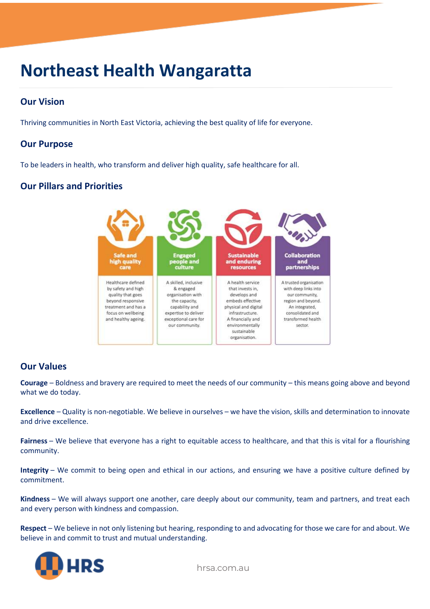### **Northeast Health Wangaratta**

### **Our Vision**

Thriving communities in North East Victoria, achieving the best quality of life for everyone.

#### **Our Purpose**

To be leaders in health, who transform and deliver high quality, safe healthcare for all.

#### **Our Pillars and Priorities**



#### **Our Values**

**Courage** – Boldness and bravery are required to meet the needs of our community – this means going above and beyond what we do today.

**Excellence** – Quality is non-negotiable. We believe in ourselves – we have the vision, skills and determination to innovate and drive excellence.

**Fairness** – We believe that everyone has a right to equitable access to healthcare, and that this is vital for a flourishing community.

**Integrity** – We commit to being open and ethical in our actions, and ensuring we have a positive culture defined by commitment.

**Kindness** – We will always support one another, care deeply about our community, team and partners, and treat each and every person with kindness and compassion.

**Respect** – We believe in not only listening but hearing, responding to and advocating for those we care for and about. We believe in and commit to trust and mutual understanding.

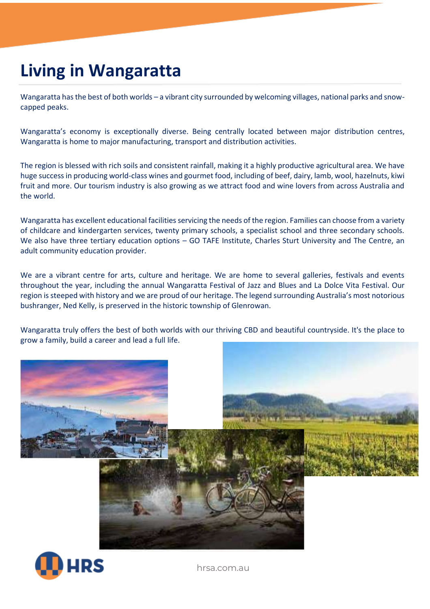### **Living in Wangaratta**

Wangaratta has the best of both worlds – a vibrant city surrounded by welcoming villages, national parks and snowcapped peaks.

Wangaratta's economy is exceptionally diverse. Being centrally located between major distribution centres, Wangaratta is home to major manufacturing, transport and distribution activities.

The region is blessed with rich soils and consistent rainfall, making it a highly productive agricultural area. We have huge success in producing world-class wines and gourmet food, including of beef, dairy, lamb, wool, hazelnuts, kiwi fruit and more. Our tourism industry is also growing as we attract food and wine lovers from across Australia and the world.

Wangaratta has excellent educational facilities servicing the needs of the region. Families can choose from a variety of childcare and kindergarten services, twenty primary schools, a specialist school and three secondary schools. We also have three tertiary education options – GO TAFE Institute, Charles Sturt University and The Centre, an adult community education provider.

We are a vibrant centre for arts, culture and heritage. We are home to several galleries, festivals and events throughout the year, including the annual Wangaratta Festival of Jazz and Blues and La Dolce Vita Festival. Our region is steeped with history and we are proud of our heritage. The legend surrounding Australia's most notorious bushranger, Ned Kelly, is preserved in the historic township of Glenrowan.

Wangaratta truly offers the best of both worlds with our thriving CBD and beautiful countryside. It's the place to grow a family, build a career and lead a full life.



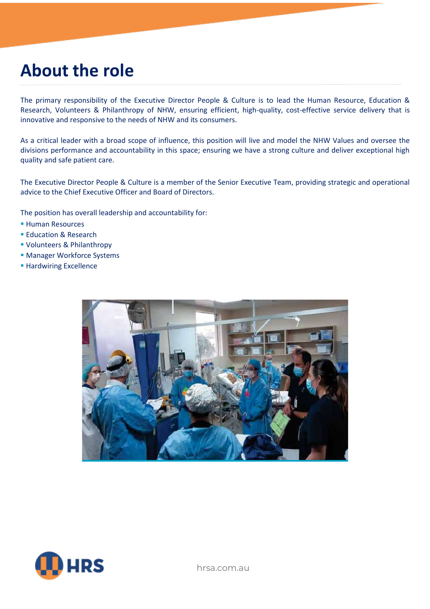### **About the role**

The primary responsibility of the Executive Director People & Culture is to lead the Human Resource, Education & Research, Volunteers & Philanthropy of NHW, ensuring efficient, high-quality, cost-effective service delivery that is innovative and responsive to the needs of NHW and its consumers.

As a critical leader with a broad scope of influence, this position will live and model the NHW Values and oversee the divisions performance and accountability in this space; ensuring we have a strong culture and deliver exceptional high quality and safe patient care.

The Executive Director People & Culture is a member of the Senior Executive Team, providing strategic and operational advice to the Chief Executive Officer and Board of Directors.

The position has overall leadership and accountability for:

- Human Resources
- **Education & Research**
- Volunteers & Philanthropy
- **Manager Workforce Systems**
- **EXCELLENCE** Excellence



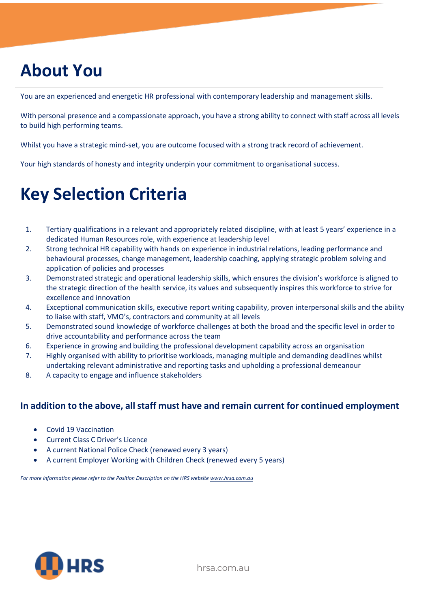## **About You**

You are an experienced and energetic HR professional with contemporary leadership and management skills.

With personal presence and a compassionate approach, you have a strong ability to connect with staff across all levels to build high performing teams.

Whilst you have a strategic mind-set, you are outcome focused with a strong track record of achievement.

Your high standards of honesty and integrity underpin your commitment to organisational success.

### **Key Selection Criteria**

- 1. Tertiary qualifications in a relevant and appropriately related discipline, with at least 5 years' experience in a dedicated Human Resources role, with experience at leadership level
- 2. Strong technical HR capability with hands on experience in industrial relations, leading performance and behavioural processes, change management, leadership coaching, applying strategic problem solving and application of policies and processes
- 3. Demonstrated strategic and operational leadership skills, which ensures the division's workforce is aligned to the strategic direction of the health service, its values and subsequently inspires this workforce to strive for excellence and innovation
- 4. Exceptional communication skills, executive report writing capability, proven interpersonal skills and the ability to liaise with staff, VMO's, contractors and community at all levels
- 5. Demonstrated sound knowledge of workforce challenges at both the broad and the specific level in order to drive accountability and performance across the team
- 6. Experience in growing and building the professional development capability across an organisation
- 7. Highly organised with ability to prioritise workloads, managing multiple and demanding deadlines whilst undertaking relevant administrative and reporting tasks and upholding a professional demeanour
- 8. A capacity to engage and influence stakeholders

#### **In addition to the above, all staff must have and remain current for continued employment**

- Covid 19 Vaccination
- Current Class C Driver's Licence
- A current National Police Check (renewed every 3 years)
- A current Employer Working with Children Check (renewed every 5 years)

*For more information please refer to the Position Description on the HRS websit[e www.hrsa.com.au](http://www.hrsa.com.au/)*